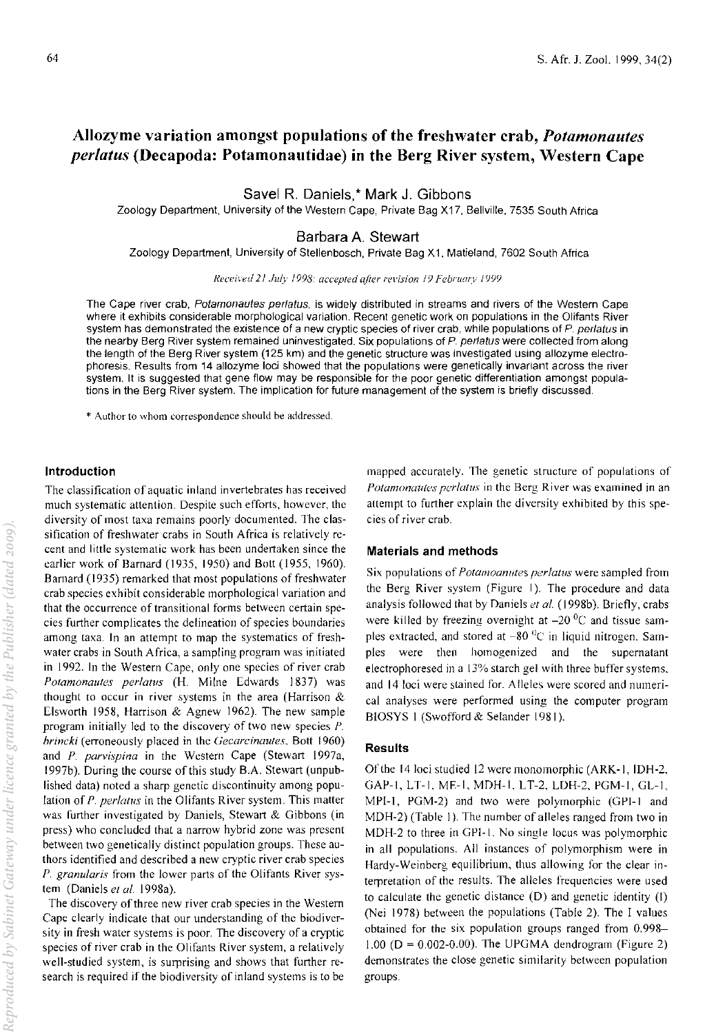# Allozyme variation amongst populations of the freshwater crab, *Potamonautes per/atus* (Decapoda: Potamonautidae) in the Berg River system, Western Cape

Savel R. Daniels,\* Mark J. Gibbons

Zoology Department, University of the Western Cape, Private Bag X17, Bellville, 7535 South Africa

Barbara A. Stewart

Zoology Department, University of Stellenbosch, Private Bag X 1, Matieland, 7602 South Africa

*Received 21 July* 1998: *accepted aJier rerision* /9 *February 1999* 

The Cape river crab, Potamonautes perlatus, is widely distributed in streams and rivers of the Western Cape where it exhibits considerable morphological variation. Recent genetic work on populations in the Olifants River system has demonstrated the existence of a new cryptic species of river crab, while populations of P. perlatus in the nearby Berg River system remained uninvestigated. Six populations of P. perlatus were collected from along the length of the Berg River system (125 km) and the genetic structure was investigated using allozyme electrophoresis. Results from 14 allozyme loci showed that the populations were genetically invariant across the river system. It is suggested that gene flow may be responsible for the poor genetic differentiation amongst populations in the Berg River system. The implication for future management of the system is briefly discussed.

\* Author to \vhom correspondence should be addressed.

#### Introduction

The classification of aquatic inland invertebrates has received much systematic attention. Despite such efforts, however, the diversity of most taxa remains poorly documented. The classification of freshwater crabs in South Africa is relatively recent and little systematic work has been undertaken since the earlier work of Barnard (1935, 1950) and Bott (1955, 1960). Barnard (1935) remarked that most populations of freshwater crab species exhibit considerable morphological variation and that the occurrence of transitional forms between certain species further complicates the delineation of species boundaries among taxa. In an attempt to map the systematics of freshwater crabs in South Africa, a sampling program was initiated in 1992. In the Western Cape, only one species of river crab Potamonautes perlatus (H. Milne Edwards 1837) was thought to occur in river systems in the area (Harrison  $\&$ Elsworth 1958, Harrison & Agnew 1962). The new sample program initially led to the discovery of two new species P. *hrincki* (erroneously placed in the *Gecarcinautes,* Bott 1960) and  $P$ . parvispina in the Western Cape (Stewart 1997a, 1997b). During the course of this study B.A. Stewart (unpublished data) noted a sharp genetic discontinuity among population of *P. perlatus* in the Olifants River system. This matter was further investigated by Daniels, Stewart & Gibbons (in press) who concluded that a narrow hybrid zone was present between two genetically distinct population groups. These authors identified and described a new cryptic river crab species *P. granularis* from the lower parts of the Olifants River system (Daniels et al. 1998a).

The discovery of three new river crab species in the Western Cape clearly indicate that our understanding of the biodiversity in fresh water systems is poor. The discovery of a cryptic species of river crab in the Olifants River system, a relatively well-studied system, is surprising and shows that further research is required if the biodiversity of inland systems is to be

mapped accurately. The genetic structure of populations of Potamonautes perlatus in the Berg River was examined in an attempt to further explain the diversity exhibited by this species of river crab.

#### Materials and methods

Six populations of *Potamoanutes perlatus* were sampled from the Berg River system (Figure I). The procedure and data analysis followed that by Daniels et al. (1998b). Briefly, crabs were killed by freezing overnight at  $-20\degree$ C and tissue samples extracted, and stored at  $-80$  <sup>0</sup>C in liquid nitrogen. Samples were then homogenized and the supernatant electrophoresed in a 13% starch gel with three buffer systems, and 14 loci were stained for. Alleles were scored and numerical analyses were performed using the computer program BIOSYS I (Swofford & Selander 1981).

### **Results**

Of the 14 loci studied 12 were monomorphic (ARK-1, IDH-2. GAP-I, LT-I, ME-I, MDH-I. LT-2, LDH-2, PGM-I. GL-I, MPI-I, PGM-2) and two were polymorphic (GPI-I and MDH-2) (Table I). The number of alleles ranged from two in MDH-2 to three in GPI-I. No single locus was polymorphic in all populations. All instances of polymorphism were in Hardy-Weinberg equilibrium, thus allowing for the clear in· terpretation of the results. The alleles frequencies were used to calculate the genetic distance (D) and genetic identity (I) (Nei 1978) between the populations (Table 2). The I values obtained for the six population groups ranged from 0.998- 1.00 ( $D = 0.002 - 0.00$ ). The UPGMA dendrogram (Figure 2) demonstrates the close genetic similarity between population groups.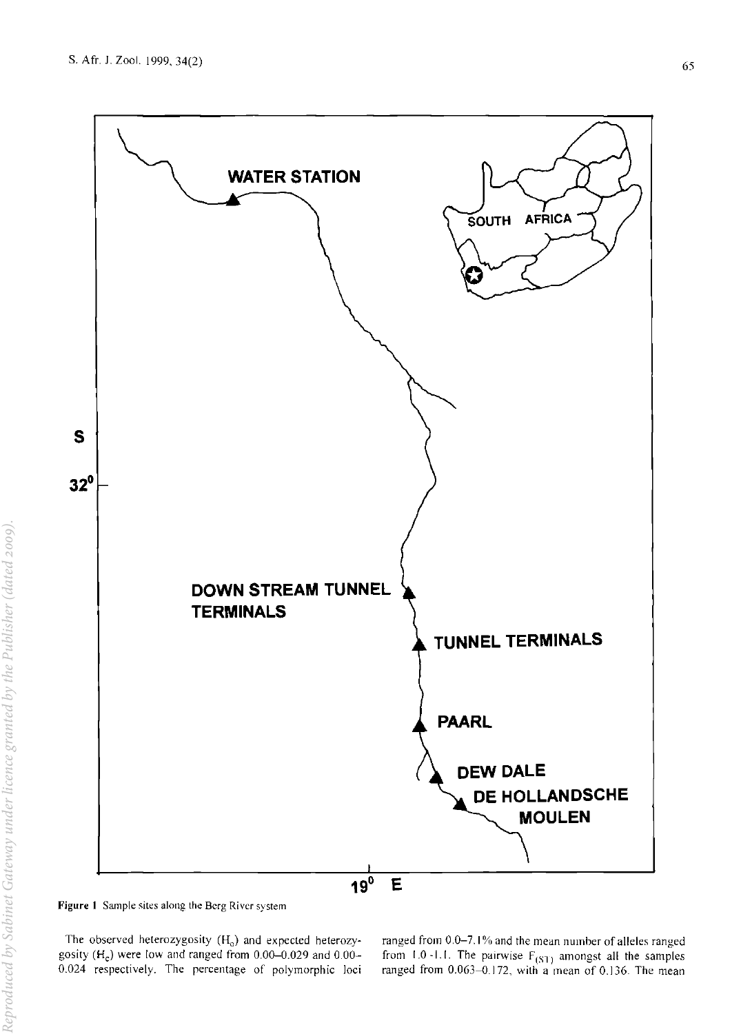

**Figure 1 Sample sites along the Berg River system** 

The observed heterozygosity  $(H_0)$  and expected heterozygosity  $(H_c)$  were low and ranged from 0.00–0.029 and 0.00– 0.024 respectively. The percentage of polymorphic loci **ranged from 0.0-7.1 % and the mean numher** of alleles **ranged**  from 1.0 -1.1. The pairwise  $F_{(ST)}$  amongst all the samples ranged from 0.063-0.172, with a mean of 0.136. The mean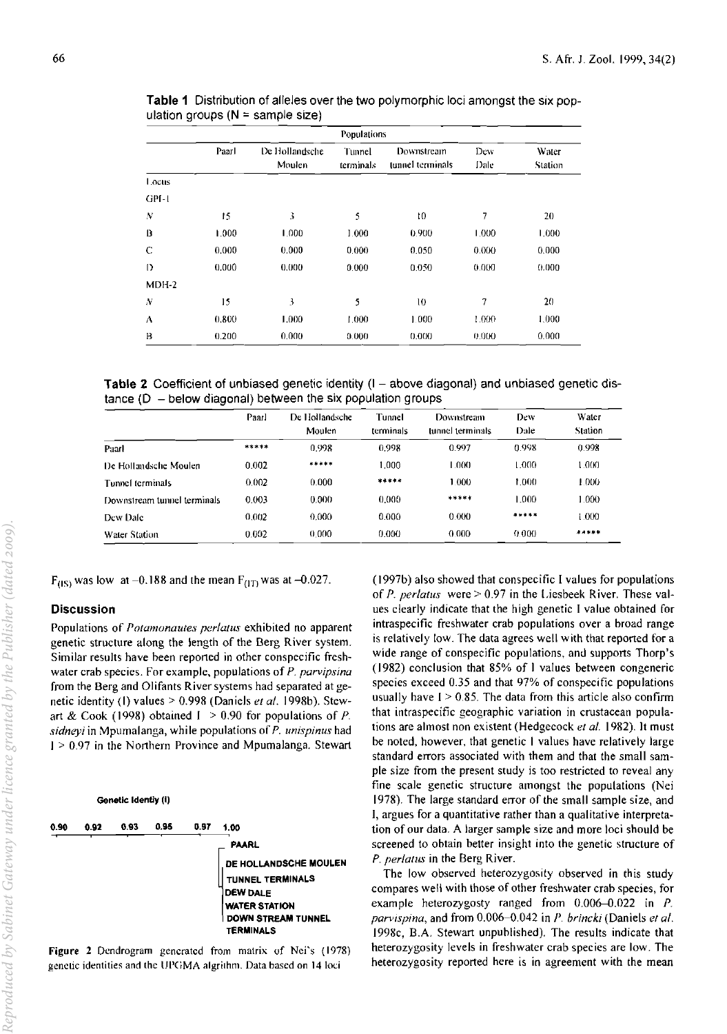|                  | Populations |                          |                     |                                |             |                         |  |  |  |  |  |
|------------------|-------------|--------------------------|---------------------|--------------------------------|-------------|-------------------------|--|--|--|--|--|
|                  | Paarl       | De Hollandsche<br>Moulen | Tunnel<br>terminals | Downstream<br>tunnel terminals | Dew<br>Dale | <b>Water</b><br>Station |  |  |  |  |  |
| Locus            |             |                          |                     |                                |             |                         |  |  |  |  |  |
| GPI-1            |             |                          |                     |                                |             |                         |  |  |  |  |  |
| N                | 15          | 3                        | 5                   | 10                             | 7           | 20                      |  |  |  |  |  |
| B                | 1.000       | 1.000                    | 1 000               | 0.900                          | 1,000       | 1.000                   |  |  |  |  |  |
| C                | 0.000       | 0.000                    | 0.000               | 0.050                          | 0.000       | 0.000                   |  |  |  |  |  |
| D                | 0.000       | 0.000                    | 0.000               | 0.050                          | 0.000       | 0.000                   |  |  |  |  |  |
| $MDH-2$          |             |                          |                     |                                |             |                         |  |  |  |  |  |
| $\boldsymbol{N}$ | 15          | 3                        | 5                   | 10                             | 7           | 20                      |  |  |  |  |  |
| ۸                | 0.800       | 1.000                    | 1.000               | 1.000                          | 1.000       | 1.000                   |  |  |  |  |  |
| B                | 0.200       | 0.000                    | 0.000               | 0.000                          | 0.000       | 0,000                   |  |  |  |  |  |

Table 1 Distribution of alleles over the two polymorphic loci amongst the six population groups  $(N = \text{sample size})$ 

Table 2 Coefficient of unbiased genetic identity (I – above diagonal) and unbiased genetic dis $t$ ance (D  $-$  below diagonal) between the six population groups

|                             | Paarl | De Hollandsche<br>Moulen | Tunnel<br>terminals | Downstream<br>tunnel terminals | Dew<br>Dale | Water<br>Station |
|-----------------------------|-------|--------------------------|---------------------|--------------------------------|-------------|------------------|
| Paarl                       | ***** | 0.998                    | 0.998               | 0.997                          | 0.998       | 0.998            |
| De Hollandsche Moulen       | 0.002 | *****                    | 1.000               | 1.000                          | 000.1       | 1.000            |
| Tunnel terminals            | 0.002 | 0.000                    | *****               | 1.000                          | 1.000       | 1.000            |
| Downstream tunnel terminals | 0.003 | 0.000                    | 0.000               | *****                          | 1.000       | 1.000            |
| Dew Dale                    | 0.002 | 0.000                    | 0.000               | 0.000                          | *****       | 1.000            |
| Water Station               | 0.002 | 0.000                    | 0.000               | 0.000                          | 0.000       | *****            |

 $F_{(1S)}$  was low at -0.188 and the mean  $F_{(1T)}$  was at -0.027.

#### **Discussion**

Populations of *Potamonautes perlatus* exhibited no apparent genetic structure along the length of the Berg River system. Similar results have been reported in other conspecific freshwater crab species. For example, populations of *P. parvipsina*  from the Berg and Olifants River systems had separated at genetic identity (1) values > 0.998 (Daniels et al. 1998b). Stewart & Cook (1998) obtained I > 0.90 for populations of *P. sidneyi* in Mpumalanga, while populations of P. *unispinus* had I > 0.97 in the Northern Province and Mpumalanga. Stewart

Genetic Identiy (I) 0.90 0.92 0.93 0.95 0.97 1.00 PAARL DE<br>TUI<br>DEN<br>WA<br>DO<br>TEF DE HOLLANDSCHE MOULEN TUNNEL TERMINALS DEW DALE WATER STATION DOWN STREAM TUNNEL TERMINALS

Figure 2 Dendrogram generated from matrix of Nei's (1978) genetic identities and the UPGMA algrithm. Data based on 14 loci

(I 997b) also showed that conspecific I values for populations of *P. perlatus* were > 0.97 in the Liesbeek River. These values clearly indicate that the high genetic I value obtained for intraspecific freshwater crab populations over a broad range is relatively low. The data agrees well with that reported for a wide range of conspecific populations. and supports Thorp's (1982) conclusion that 85% of 1 values between congeneric species exceed 0.35 and that 97% of conspecific populations usually have  $I > 0.85$ . The data from this article also confirm that intraspecific geographic variation in crustacean popula· tions are almost non existent (Hedgecock et al. 1982). It must be noted, however, that genetic I values have relatively large standard errors associated with them and that the small sample size from the present study is too restricted to reveal any fine scale genetic structure amongst the populations (Nei 1978). The large standard error of the small sample size, and I, argues for a quantitative rather than a qualitative interpretation of our data. A larger sample size and more loci should be screened to obtain better insight into the genetic structure of *P. perlatus* in the Berg River.

The low observed heterozygosity observed in this study compares well with those of other freshwater crab species, for example heterozygosty ranged from  $0.006-0.022$  in P. *parvispina, and from 0.006-0.042 in P. brincki (Daniels et al.* 1998c, B.A. Stewart unpublished). The results indicate that heterozygosity levels in freshwater crab species are low. The heterozygosity reported here is in agreement with the mean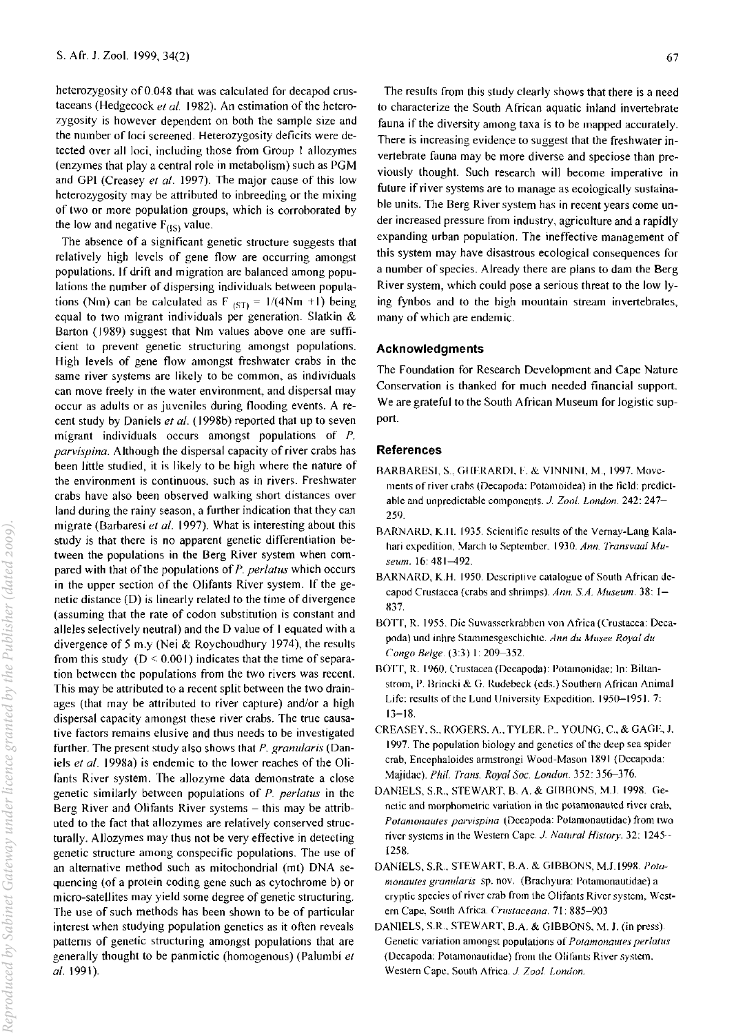heterozygosity of 0.048 that was calculated for decapod crustaceans (Hedgecock *el al.* 1982). An estimation of the heterozygosity is however dependent on both the sample size and the number of loci screened. Heterozygosity deficits were detected over all loci, including those from Group I allozymes (enzymes that playa central role in metabolism) such as PGM and GPI (Creasey *el al.* 1997). The major cause of this low heterozygosity may be attributed to inbreeding or the mixing of two or more population groups, which is corroborated by the low and negative  $F_{(1S)}$  value.

The absence of a significant genetic structure suggests that relatively high levels of gene flow are occurring amongst populations. If drift and migration are balanced among populations the number of dispersing individuals between populations (Nm) can be calculated as F  $_{(ST)} = 1/(4Nm + 1)$  being equal to two migrant individuals per generation. Slatkin & Barton (1989) suggest that Nm values above one are sufficient to prevent genetic structuring amongst populations. High levels of gene flow amongst freshwater crabs in the same river systems are likely to be common, as individuals can move freely in the water environment, and dispersal may occur as adults or as juveniles during flooding events. A recent study by Daniels *el at.* (1998b) reported that up to seven migrant individuals occurs amongst populations of *P. parvispina.* Although the dispersal capacity of river crabs has been little studied, it is likely to be high where the nature of the environment is continuous. such as in rivers. Freshwater crabs have also been observed walking short distances over land during the rainy season, a further indication that they can migrate (Barbaresi *el al.* 1997). What is interesting about this study is that there is no apparent genetic differentiation between the populations in the Berg River system when compared with that of the populations of *P. perlalus* which occurs in the upper section of the Olifants River system. If the genetic distance (D) is linearly related to the time of divergence (assuming that the rate of codon substitution is constant and alleles selectively neutral) and the D value of I equated with a divergence of 5 m.y (Nei & Roychoudhury 1974), the results from this study ( $D \le 0.001$ ) indicates that the time of separation between the populations from the two rivers was recent. This may be attributed to a recent split between the two drainages (that may be attributed to river capture) and/or a high dispersal capacity amongst these river crabs. The true causative factors remains elusive and thus needs to be investigated further. The present study also shows that *P. granuJaris* (Daniels *el al.* 1998a) is endemic to the lower reaches of the Olifants River system. The allozyme data demonstrate a close genetic similarly between populations of P. *perlatus* in the Berg River and Olifants River systems - this may be attributed to the fact that allozymes are relatively conserved structurally. Allozymes may thus not be very effective in detecting genetic structure among conspecific populations. The use of an alternative method such as mitochondrial (mt) DNA sequencing (of a protein coding gene such as cytochrome b) or micro-satellites may yield some degree of genetic structuring. The use of such methods has been shown to be of particular interest when studying population genetics as it often reveals patterns of genetic structuring amongst populations that are generally thought to be panmictic (homogenous) (Palumbi et *al. 1991).* 

future if river systems are to manage as ecologically sustainable units. The Berg River system has in recent years come under increased pressure from industry, agriculture and a rapidly expanding urban population. The ineffective management of this system may have disastrous ecological consequences for a number of species. Already there are plans to dam the Berg River system, which could pose a serious threat to the low lying fynbos and to the high mountain stream invertebrates, many of which are endemic.

## Acknowledgments

The Foundation for Research Development and Cape Nature Conservation is thanked for much needed financial support. We are grateful to the South African Museum for logistic support.

# References

- RARBARESI, S., GHERARDI, F. & VINNINI, M., 1997. Movements of river crabs (Decapoda: Potamoidea) in the field: predictahle and unpredictahle components. J. *Zoo!. London.* 242: 247- 259.
- RARNARO, K.II. 1935. Scienlitic results of the Vemay-Lang Kalahari expedition, March to September. 1930. *Ann. Transvaal Museum.* 16: 4&1-492.
- BARNARD, K.H. 1950. Descriptive catalogue of South African decapod Crustacea (crabs and shrimps). *Ann. SA. Museum.* 3&: 1- X37.
- BOTT, R. 1955. Die Suwasserkrabben von Africa (Crustacea: Decapoda) und inhre Stammesgeschichte. *Ann du Musee Royal du Congo Beige.* (3:3) 1: *209-352.*
- ROTT, R. 1960. Crustacea (Decapoda): Potamonidae: In: Biltanstrom, P. Brincki & G. Rudebeck (eds.) Southern African Animal Life: results of the Lund University Expedition. 1950-1951. 7: 13-18.
- CREASEY, S., ROGERS, A., TYLER, P., YOUNG, C., & GAGE, J. 1997. The population hiology and genetics of the deep sea spider crab, Encephaloidcs armstrongi Wood-Mason 1891 (Decapoda: ~aiidae). *Phil. Trans. Royal Soc. London.* 352: 35&-376.
- DANIELS, S.R., STEWART, B. A. & GIBBONS, M.J. 1998. Genetic and morphometric variation in the potamonauted river crab, *Potamonautes parvispina* (Decapoda: Potamonautidae) from two river systems in the Western Cape. J *Natural Hislory.* 32: 1245-- 1258.
- DANIELS, S.R., STEWART, B.A. & GIBBONS, M.J.1998. Pota*monaules granlllaris* sp. nov. (Brachyura: Potamonautidae) a cryptic species of river crah from the Olifants River system, Western Cape. South Africa. *Cruslaceana.* 71: 885-903
- DANIELS, S.R., STEWART, B.A. & GIBBONS, M. J. (in press). Genetic variation amongst populations of Potamonautes perlatus (Decapoda: Potamonautidae) from the Olifants River system, Western Cape. South Africa. J *7001. London.*